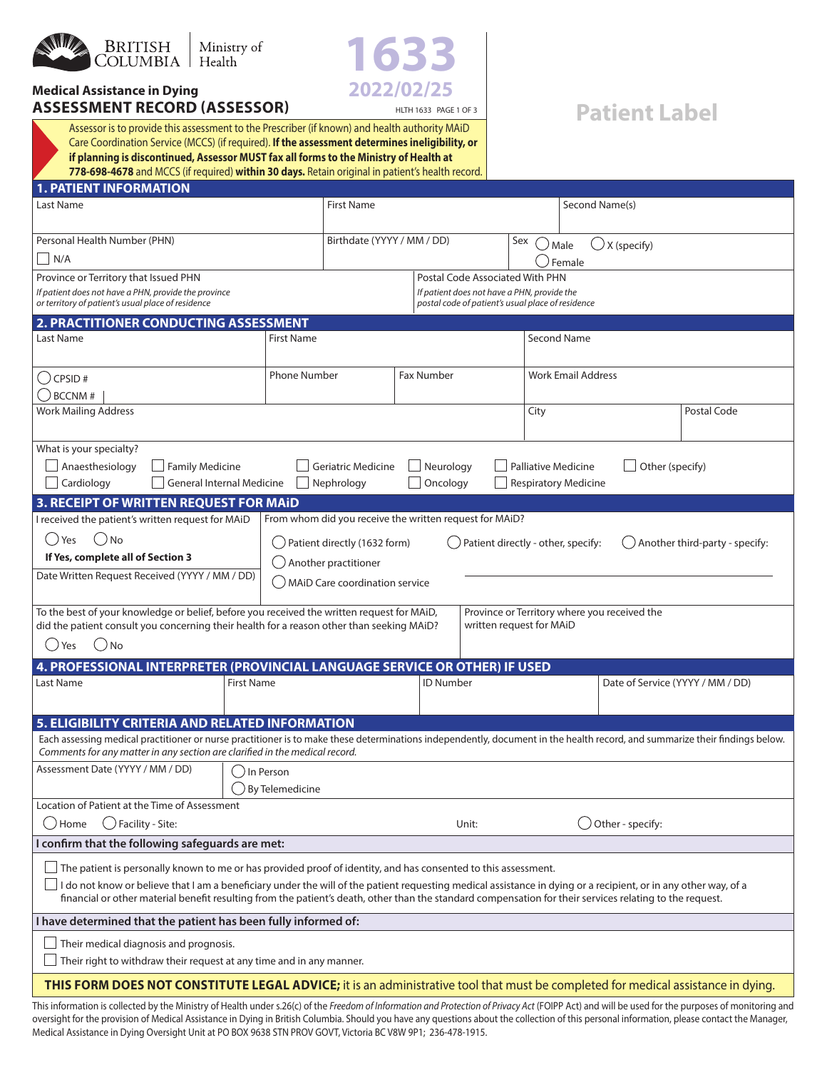

**ASSESSMENT RECORD (ASSESSOR)**

**Medical Assistance in Dying**



## **Patient Label**

Assessor is to provide this assessment to the Prescriber (if known) and health authority MAiD Care Coordination Service (MCCS) (if required). **If the assessment determines ineligibility, or if planning is discontinued, Assessor MUST fax all forms to the Ministry of Health at 778-698-4678** and MCCS (if required) **within 30 days.** Retain original in patient's health record.

| <b>1. PATIENT INFORMATION</b>                                                                                                                                                                                                                                                                                                                                                                                                                               |                                        |                                                         |                   |                           |                                                                                                  |                            |                             |                        |                                  |
|-------------------------------------------------------------------------------------------------------------------------------------------------------------------------------------------------------------------------------------------------------------------------------------------------------------------------------------------------------------------------------------------------------------------------------------------------------------|----------------------------------------|---------------------------------------------------------|-------------------|---------------------------|--------------------------------------------------------------------------------------------------|----------------------------|-----------------------------|------------------------|----------------------------------|
| Last Name                                                                                                                                                                                                                                                                                                                                                                                                                                                   |                                        | <b>First Name</b>                                       |                   |                           |                                                                                                  |                            | Second Name(s)              |                        |                                  |
| Personal Health Number (PHN)                                                                                                                                                                                                                                                                                                                                                                                                                                |                                        | Birthdate (YYYY / MM / DD)                              |                   |                           | Sex                                                                                              | .) Male                    |                             | $\bigcirc$ X (specify) |                                  |
| $\vert$ N/A                                                                                                                                                                                                                                                                                                                                                                                                                                                 |                                        |                                                         |                   |                           |                                                                                                  |                            | Female                      |                        |                                  |
| Province or Territory that Issued PHN                                                                                                                                                                                                                                                                                                                                                                                                                       |                                        |                                                         |                   |                           | Postal Code Associated With PHN                                                                  |                            |                             |                        |                                  |
| If patient does not have a PHN, provide the province<br>or territory of patient's usual place of residence                                                                                                                                                                                                                                                                                                                                                  |                                        |                                                         |                   |                           | If patient does not have a PHN, provide the<br>postal code of patient's usual place of residence |                            |                             |                        |                                  |
| 2. PRACTITIONER CONDUCTING ASSESSMENT                                                                                                                                                                                                                                                                                                                                                                                                                       |                                        |                                                         |                   |                           |                                                                                                  |                            |                             |                        |                                  |
| Last Name                                                                                                                                                                                                                                                                                                                                                                                                                                                   | <b>First Name</b>                      |                                                         |                   |                           |                                                                                                  | <b>Second Name</b>         |                             |                        |                                  |
| $( )$ CPSID #<br><b>BCCNM#</b>                                                                                                                                                                                                                                                                                                                                                                                                                              | <b>Phone Number</b>                    |                                                         | <b>Fax Number</b> |                           |                                                                                                  |                            | <b>Work Email Address</b>   |                        |                                  |
| <b>Work Mailing Address</b>                                                                                                                                                                                                                                                                                                                                                                                                                                 |                                        |                                                         |                   |                           |                                                                                                  | City                       |                             |                        | Postal Code                      |
| What is your specialty?<br>Anaesthesiology<br><b>Family Medicine</b><br>Cardiology<br><b>General Internal Medicine</b>                                                                                                                                                                                                                                                                                                                                      |                                        | <b>Geriatric Medicine</b><br>Nephrology                 |                   | Neurology<br>Oncology     |                                                                                                  | <b>Palliative Medicine</b> | <b>Respiratory Medicine</b> | Other (specify)        |                                  |
| 3. RECEIPT OF WRITTEN REQUEST FOR MAID                                                                                                                                                                                                                                                                                                                                                                                                                      |                                        |                                                         |                   |                           |                                                                                                  |                            |                             |                        |                                  |
| I received the patient's written request for MAID                                                                                                                                                                                                                                                                                                                                                                                                           |                                        | From whom did you receive the written request for MAiD? |                   |                           |                                                                                                  |                            |                             |                        |                                  |
| 'No<br>Yes                                                                                                                                                                                                                                                                                                                                                                                                                                                  |                                        | Patient directly (1632 form)                            |                   |                           | Patient directly - other, specify:                                                               |                            |                             |                        | Another third-party - specify:   |
| If Yes, complete all of Section 3                                                                                                                                                                                                                                                                                                                                                                                                                           |                                        | Another practitioner                                    |                   |                           |                                                                                                  |                            |                             |                        |                                  |
| Date Written Request Received (YYYY / MM / DD)<br>MAID Care coordination service                                                                                                                                                                                                                                                                                                                                                                            |                                        |                                                         |                   |                           |                                                                                                  |                            |                             |                        |                                  |
| To the best of your knowledge or belief, before you received the written request for MAiD,<br>Province or Territory where you received the<br>did the patient consult you concerning their health for a reason other than seeking MAiD?<br>written request for MAiD                                                                                                                                                                                         |                                        |                                                         |                   |                           |                                                                                                  |                            |                             |                        |                                  |
| () Yes<br>.) No                                                                                                                                                                                                                                                                                                                                                                                                                                             |                                        |                                                         |                   |                           |                                                                                                  |                            |                             |                        |                                  |
| 4. PROFESSIONAL INTERPRETER (PROVINCIAL LANGUAGE SERVICE OR OTHER) IF USED                                                                                                                                                                                                                                                                                                                                                                                  |                                        |                                                         |                   |                           |                                                                                                  |                            |                             |                        |                                  |
| Last Name                                                                                                                                                                                                                                                                                                                                                                                                                                                   | <b>First Name</b>                      |                                                         |                   | <b>ID Number</b>          |                                                                                                  |                            |                             |                        | Date of Service (YYYY / MM / DD) |
| 5. ELIGIBILITY CRITERIA AND RELATED INFORMATION                                                                                                                                                                                                                                                                                                                                                                                                             |                                        |                                                         |                   |                           |                                                                                                  |                            |                             |                        |                                  |
| Each assessing medical practitioner or nurse practitioner is to make these determinations independently, document in the health record, and summarize their findings below.<br>Comments for any matter in any section are clarified in the medical record.                                                                                                                                                                                                  |                                        |                                                         |                   |                           |                                                                                                  |                            |                             |                        |                                  |
| Assessment Date (YYYY / MM / DD)                                                                                                                                                                                                                                                                                                                                                                                                                            | 、)In Person<br>$\big)$ By Telemedicine |                                                         |                   |                           |                                                                                                  |                            |                             |                        |                                  |
| Location of Patient at the Time of Assessment                                                                                                                                                                                                                                                                                                                                                                                                               |                                        |                                                         |                   |                           |                                                                                                  |                            |                             |                        |                                  |
| $\bigcirc$ Facility - Site:<br>( <i>)</i> Home                                                                                                                                                                                                                                                                                                                                                                                                              |                                        |                                                         |                   | Other - specify:<br>Unit: |                                                                                                  |                            |                             |                        |                                  |
| I confirm that the following safeguards are met:                                                                                                                                                                                                                                                                                                                                                                                                            |                                        |                                                         |                   |                           |                                                                                                  |                            |                             |                        |                                  |
| $\Box$ The patient is personally known to me or has provided proof of identity, and has consented to this assessment.<br>$\Box$ I do not know or believe that I am a beneficiary under the will of the patient requesting medical assistance in dying or a recipient, or in any other way, of a<br>financial or other material benefit resulting from the patient's death, other than the standard compensation for their services relating to the request. |                                        |                                                         |                   |                           |                                                                                                  |                            |                             |                        |                                  |
|                                                                                                                                                                                                                                                                                                                                                                                                                                                             |                                        |                                                         |                   |                           |                                                                                                  |                            |                             |                        |                                  |
| I have determined that the patient has been fully informed of:                                                                                                                                                                                                                                                                                                                                                                                              |                                        |                                                         |                   |                           |                                                                                                  |                            |                             |                        |                                  |
| Their medical diagnosis and prognosis.<br>Their right to withdraw their request at any time and in any manner.                                                                                                                                                                                                                                                                                                                                              |                                        |                                                         |                   |                           |                                                                                                  |                            |                             |                        |                                  |
| THIS FORM DOES NOT CONSTITUTE LEGAL ADVICE; it is an administrative tool that must be completed for medical assistance in dying.                                                                                                                                                                                                                                                                                                                            |                                        |                                                         |                   |                           |                                                                                                  |                            |                             |                        |                                  |
| This information is collected by the Ministry of Health under s.26(c) of the <i>Freedom of Information and Protection of Privacy Act</i> (FOIPP Act) and will be used for the purposes of monitoring and                                                                                                                                                                                                                                                    |                                        |                                                         |                   |                           |                                                                                                  |                            |                             |                        |                                  |

This information is collected by the Ministry of Health under s.26(c) of the *Freedom of Information and Protection of Privacy Act* (FOIPP Act) and will be used for the purposes of monitoring and oversight for the provision of Medical Assistance in Dying in British Columbia. Should you have any questions about the collection of this personal information, please contact the Manager, Medical Assistance in Dying Oversight Unit at PO BOX 9638 STN PROV GOVT, Victoria BC V8W 9P1; 236-478-1915.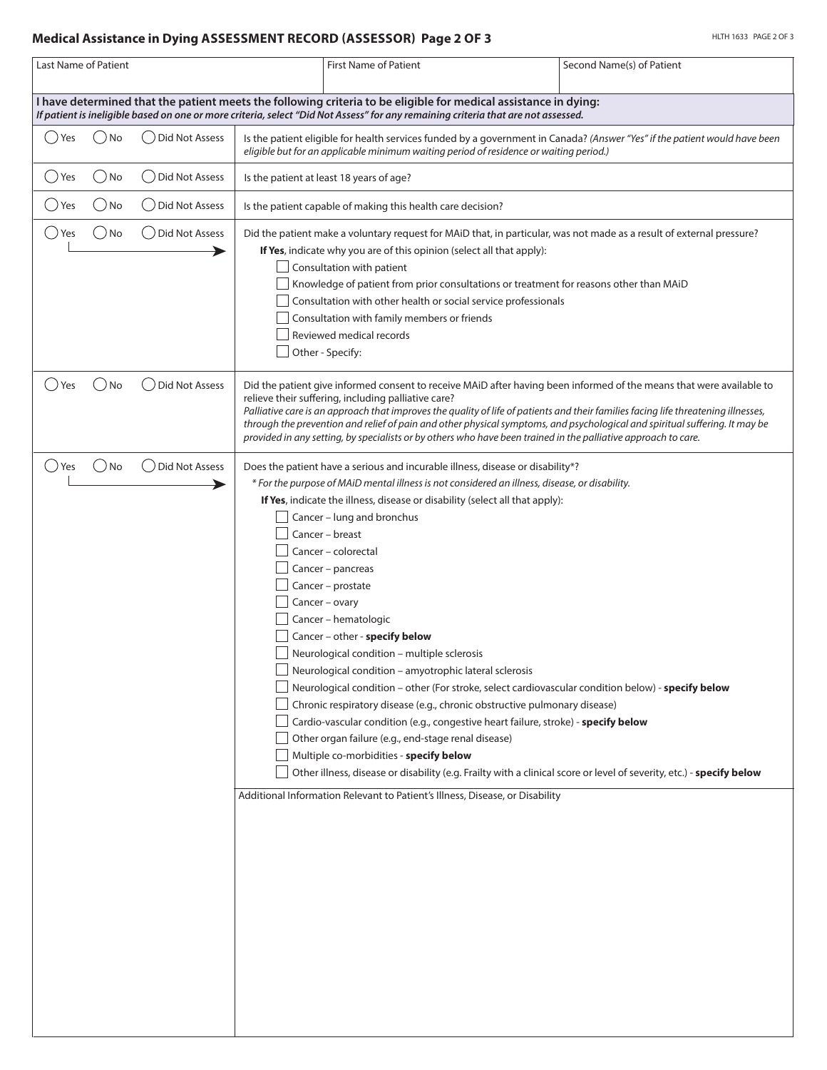## **Medical Assistance in Dying ASSESSMENT RECORD (ASSESSOR) Page 2 OF 3**

| Last Name of Patient |         |                       | <b>First Name of Patient</b>                                                                                                                                                                                                                                                                                                                                                                                                                                                                                                                                                                                                                                                                                                                                                                                                                                                                                                                                                                                                                                                                                                                               | Second Name(s) of Patient |
|----------------------|---------|-----------------------|------------------------------------------------------------------------------------------------------------------------------------------------------------------------------------------------------------------------------------------------------------------------------------------------------------------------------------------------------------------------------------------------------------------------------------------------------------------------------------------------------------------------------------------------------------------------------------------------------------------------------------------------------------------------------------------------------------------------------------------------------------------------------------------------------------------------------------------------------------------------------------------------------------------------------------------------------------------------------------------------------------------------------------------------------------------------------------------------------------------------------------------------------------|---------------------------|
|                      |         |                       | I have determined that the patient meets the following criteria to be eligible for medical assistance in dying:<br>If patient is ineligible based on one or more criteria, select "Did Not Assess" for any remaining criteria that are not assessed.                                                                                                                                                                                                                                                                                                                                                                                                                                                                                                                                                                                                                                                                                                                                                                                                                                                                                                       |                           |
| Yes                  | ) No    | <b>Did Not Assess</b> | Is the patient eligible for health services funded by a government in Canada? (Answer "Yes" if the patient would have been<br>eligible but for an applicable minimum waiting period of residence or waiting period.)                                                                                                                                                                                                                                                                                                                                                                                                                                                                                                                                                                                                                                                                                                                                                                                                                                                                                                                                       |                           |
| ( ) Yes              | ( ) No  | Did Not Assess        | Is the patient at least 18 years of age?                                                                                                                                                                                                                                                                                                                                                                                                                                                                                                                                                                                                                                                                                                                                                                                                                                                                                                                                                                                                                                                                                                                   |                           |
| ( )Yes               | ) No    | Did Not Assess        | Is the patient capable of making this health care decision?                                                                                                                                                                                                                                                                                                                                                                                                                                                                                                                                                                                                                                                                                                                                                                                                                                                                                                                                                                                                                                                                                                |                           |
| () Yes               | ) No    | ○ Did Not Assess      | Did the patient make a voluntary request for MAiD that, in particular, was not made as a result of external pressure?<br>If Yes, indicate why you are of this opinion (select all that apply):<br>Consultation with patient<br>Knowledge of patient from prior consultations or treatment for reasons other than MAiD<br>Consultation with other health or social service professionals<br>Consultation with family members or friends<br>Reviewed medical records<br>Other - Specify:                                                                                                                                                                                                                                                                                                                                                                                                                                                                                                                                                                                                                                                                     |                           |
| () Yes               | ( ) No  | Did Not Assess        | Did the patient give informed consent to receive MAiD after having been informed of the means that were available to<br>relieve their suffering, including palliative care?<br>Palliative care is an approach that improves the quality of life of patients and their families facing life threatening illnesses,<br>through the prevention and relief of pain and other physical symptoms, and psychological and spiritual suffering. It may be<br>provided in any setting, by specialists or by others who have been trained in the palliative approach to care.                                                                                                                                                                                                                                                                                                                                                                                                                                                                                                                                                                                         |                           |
| () Yes               | $()$ No | Did Not Assess        | Does the patient have a serious and incurable illness, disease or disability*?<br>* For the purpose of MAiD mental illness is not considered an illness, disease, or disability.<br>If Yes, indicate the illness, disease or disability (select all that apply):<br>Cancer - lung and bronchus<br>Cancer - breast<br>Cancer - colorectal<br>Cancer - pancreas<br>Cancer - prostate<br>Cancer - ovary<br>Cancer - hematologic<br>Cancer - other - specify below<br>Neurological condition - multiple sclerosis<br>Neurological condition - amyotrophic lateral sclerosis<br>Neurological condition - other (For stroke, select cardiovascular condition below) - specify below<br>Chronic respiratory disease (e.g., chronic obstructive pulmonary disease)<br>Cardio-vascular condition (e.g., congestive heart failure, stroke) - specify below<br>Other organ failure (e.g., end-stage renal disease)<br>Multiple co-morbidities - specify below<br>Other illness, disease or disability (e.g. Frailty with a clinical score or level of severity, etc.) - specify below<br>Additional Information Relevant to Patient's Illness, Disease, or Disability |                           |